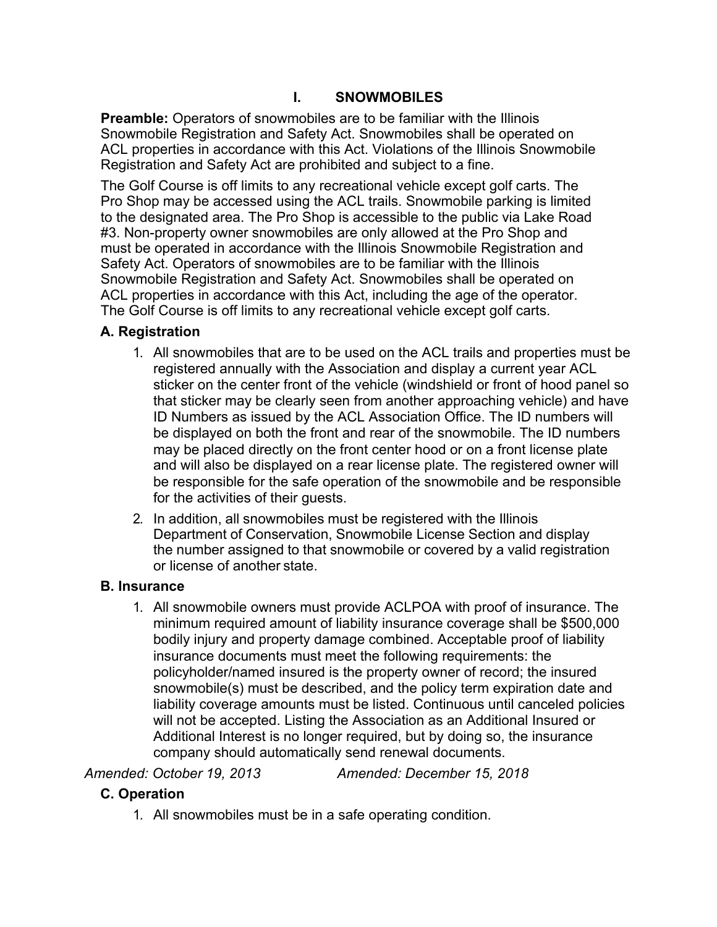## **I. SNOWMOBILES**

**Preamble:** Operators of snowmobiles are to be familiar with the Illinois Snowmobile Registration and Safety Act. Snowmobiles shall be operated on ACL properties in accordance with this Act. Violations of the Illinois Snowmobile Registration and Safety Act are prohibited and subject to a fine.

The Golf Course is off limits to any recreational vehicle except golf carts. The Pro Shop may be accessed using the ACL trails. Snowmobile parking is limited to the designated area. The Pro Shop is accessible to the public via Lake Road #3. Non-property owner snowmobiles are only allowed at the Pro Shop and must be operated in accordance with the Illinois Snowmobile Registration and Safety Act. Operators of snowmobiles are to be familiar with the Illinois Snowmobile Registration and Safety Act. Snowmobiles shall be operated on ACL properties in accordance with this Act, including the age of the operator. The Golf Course is off limits to any recreational vehicle except golf carts.

## **A. Registration**

- 1. All snowmobiles that are to be used on the ACL trails and properties must be registered annually with the Association and display a current year ACL sticker on the center front of the vehicle (windshield or front of hood panel so that sticker may be clearly seen from another approaching vehicle) and have ID Numbers as issued by the ACL Association Office. The ID numbers will be displayed on both the front and rear of the snowmobile. The ID numbers may be placed directly on the front center hood or on a front license plate and will also be displayed on a rear license plate. The registered owner will be responsible for the safe operation of the snowmobile and be responsible for the activities of their guests.
- 2. In addition, all snowmobiles must be registered with the Illinois Department of Conservation, Snowmobile License Section and display the number assigned to that snowmobile or covered by a valid registration or license of another state.

## **B. Insurance**

1. All snowmobile owners must provide ACLPOA with proof of insurance. The minimum required amount of liability insurance coverage shall be \$500,000 bodily injury and property damage combined. Acceptable proof of liability insurance documents must meet the following requirements: the policyholder/named insured is the property owner of record; the insured snowmobile(s) must be described, and the policy term expiration date and liability coverage amounts must be listed. Continuous until canceled policies will not be accepted. Listing the Association as an Additional Insured or Additional Interest is no longer required, but by doing so, the insurance company should automatically send renewal documents.

*Amended: October 19, 2013 Amended: December 15, 2018*

## **C. Operation**

1. All snowmobiles must be in a safe operating condition.